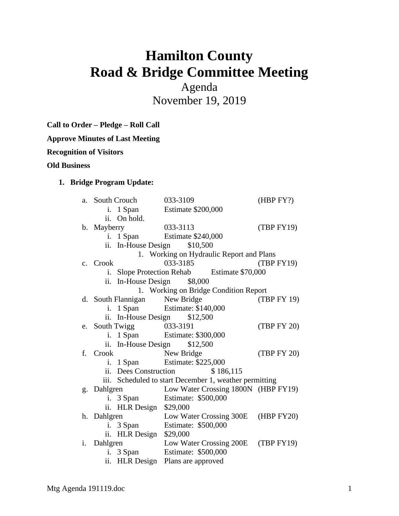# **Hamilton County Road & Bridge Committee Meeting**

Agenda November 19, 2019

**Call to Order – Pledge – Roll Call**

**Approve Minutes of Last Meeting**

**Recognition of Visitors**

#### **Old Business**

# **1. Bridge Program Update:**

| a.                                       | South Crouch                       |                       | 033-3109                                               | (HBP FY?)   |  |
|------------------------------------------|------------------------------------|-----------------------|--------------------------------------------------------|-------------|--|
|                                          |                                    | i. 1 Span             | <b>Estimate \$200,000</b>                              |             |  |
|                                          | ii.                                | On hold.              |                                                        |             |  |
|                                          | b. Mayberry                        |                       | 033-3113                                               | (TBP FY19)  |  |
|                                          | i.                                 | 1 Span                | Estimate \$240,000                                     |             |  |
|                                          | ii.                                | In-House Design       | \$10,500                                               |             |  |
| 1. Working on Hydraulic Report and Plans |                                    |                       |                                                        |             |  |
|                                          | c. Crook                           |                       | 033-3185                                               | (TBP FY19)  |  |
|                                          |                                    |                       | i. Slope Protection Rehab Estimate \$70,000            |             |  |
|                                          | ii.                                | In-House Design       | \$8,000                                                |             |  |
| 1. Working on Bridge Condition Report    |                                    |                       |                                                        |             |  |
|                                          |                                    | d. South Flannigan    | New Bridge                                             | (TBP FY 19) |  |
|                                          | i.                                 | 1 Span                | Estimate: \$140,000                                    |             |  |
|                                          | ii. In-House Design \$12,500       |                       |                                                        |             |  |
|                                          | e. South Twigg                     |                       | 033-3191                                               | (TBP FY 20) |  |
|                                          | i.                                 | 1 Span                | Estimate: \$300,000                                    |             |  |
|                                          | \$12,500<br>In-House Design<br>ii. |                       |                                                        |             |  |
|                                          | f. Crook                           |                       | New Bridge                                             | (TBP FY 20) |  |
|                                          | i.                                 | 1 Span                | Estimate: \$225,000                                    |             |  |
|                                          |                                    | ii. Dees Construction | \$186,115                                              |             |  |
|                                          |                                    |                       | iii. Scheduled to start December 1, weather permitting |             |  |
|                                          | g. Dahlgren                        |                       | Low Water Crossing 1800N (HBP FY19)                    |             |  |
|                                          | i.                                 | 3 Span                | Estimate: \$500,000                                    |             |  |
|                                          |                                    | ii. HLR Design        | \$29,000                                               |             |  |
|                                          | h. Dahlgren                        |                       | Low Water Crossing 300E (HBP FY20)                     |             |  |
|                                          |                                    | i. 3 Span             | Estimate: \$500,000                                    |             |  |
|                                          |                                    | ii. HLR Design        | \$29,000                                               |             |  |
| i.                                       | Dahlgren                           |                       | Low Water Crossing 200E (TBP FY19)                     |             |  |
|                                          | i.                                 | 3 Span                | Estimate: \$500,000                                    |             |  |
|                                          | ii.                                | <b>HLR</b> Design     | Plans are approved                                     |             |  |